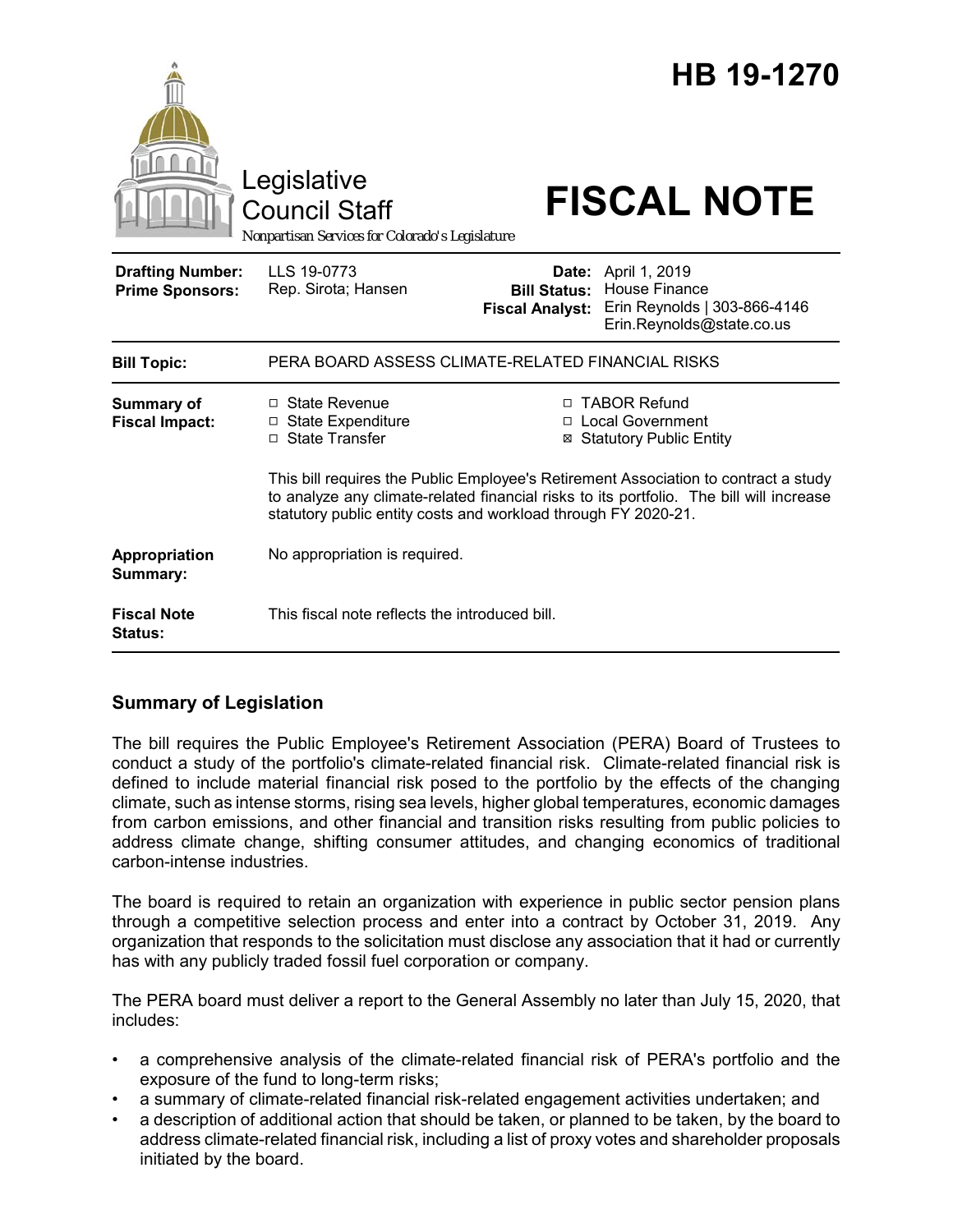|                                                   | Legislative<br><b>Council Staff</b><br>Nonpartisan Services for Colorado's Legislature                                                                                                                                                           |                                               | HB 19-1270<br><b>FISCAL NOTE</b>                                                                                |
|---------------------------------------------------|--------------------------------------------------------------------------------------------------------------------------------------------------------------------------------------------------------------------------------------------------|-----------------------------------------------|-----------------------------------------------------------------------------------------------------------------|
| <b>Drafting Number:</b><br><b>Prime Sponsors:</b> | LLS 19-0773<br>Rep. Sirota; Hansen                                                                                                                                                                                                               | <b>Bill Status:</b><br><b>Fiscal Analyst:</b> | <b>Date:</b> April 1, 2019<br><b>House Finance</b><br>Erin Reynolds   303-866-4146<br>Erin.Reynolds@state.co.us |
| <b>Bill Topic:</b>                                | PERA BOARD ASSESS CLIMATE-RELATED FINANCIAL RISKS                                                                                                                                                                                                |                                               |                                                                                                                 |
| <b>Summary of</b><br><b>Fiscal Impact:</b>        | □ State Revenue<br><b>State Expenditure</b><br>$\Box$<br>□ State Transfer                                                                                                                                                                        | П<br>⊠                                        | □ TABOR Refund<br><b>Local Government</b><br><b>Statutory Public Entity</b>                                     |
|                                                   | This bill requires the Public Employee's Retirement Association to contract a study<br>to analyze any climate-related financial risks to its portfolio. The bill will increase<br>statutory public entity costs and workload through FY 2020-21. |                                               |                                                                                                                 |
| Appropriation<br>Summary:                         | No appropriation is required.                                                                                                                                                                                                                    |                                               |                                                                                                                 |
| <b>Fiscal Note</b><br><b>Status:</b>              | This fiscal note reflects the introduced bill.                                                                                                                                                                                                   |                                               |                                                                                                                 |

## **Summary of Legislation**

The bill requires the Public Employee's Retirement Association (PERA) Board of Trustees to conduct a study of the portfolio's climate-related financial risk. Climate-related financial risk is defined to include material financial risk posed to the portfolio by the effects of the changing climate, such as intense storms, rising sea levels, higher global temperatures, economic damages from carbon emissions, and other financial and transition risks resulting from public policies to address climate change, shifting consumer attitudes, and changing economics of traditional carbon-intense industries.

The board is required to retain an organization with experience in public sector pension plans through a competitive selection process and enter into a contract by October 31, 2019. Any organization that responds to the solicitation must disclose any association that it had or currently has with any publicly traded fossil fuel corporation or company.

The PERA board must deliver a report to the General Assembly no later than July 15, 2020, that includes:

- a comprehensive analysis of the climate-related financial risk of PERA's portfolio and the exposure of the fund to long-term risks;
- a summary of climate-related financial risk-related engagement activities undertaken; and
- a description of additional action that should be taken, or planned to be taken, by the board to address climate-related financial risk, including a list of proxy votes and shareholder proposals initiated by the board.